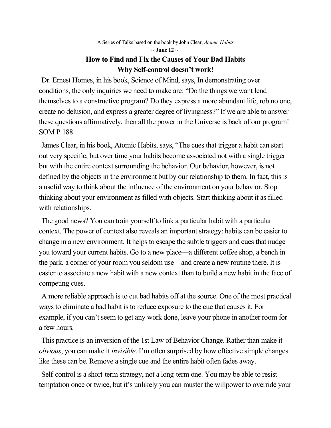A Series of Talks based on the book by John Clear, *Atomic Habits*

### **~ June 12 ~ How to Find and Fix the Causes of Your Bad Habits Why Self-control doesn't work!**

Dr. Ernest Homes, in his book, Science of Mind, says, In demonstrating over conditions, the only inquiries we need to make are: "Do the things we want lend themselves to a constructive program? Do they express a more abundant life, rob no one, create no delusion, and express a greater degree of livingness?" If we are able to answer these questions affirmatively, then all the power in the Universe is back of our program! SOM P 188

James Clear, in his book, Atomic Habits, says, "The cues that trigger a habit can start out very specific, but over time your habits become associated not with a single trigger but with the entire context surrounding the behavior. Our behavior, however, is not defined by the objects in the environment but by our relationship to them. In fact, this is a useful way to think about the influence of the environment on your behavior. Stop thinking about your environment as filled with objects. Start thinking about it as filled with relationships.

The good news? You can train yourself to link a particular habit with a particular context. The power of context also reveals an important strategy: habits can be easier to change in a new environment. It helps to escape the subtle triggers and cues that nudge you toward your current habits. Go to a new place—a different coffee shop, a bench in the park, a corner of your room you seldom use—and create a new routine there. It is easier to associate a new habit with a new context than to build a new habit in the face of competing cues.

A more reliable approach is to cut bad habits off at the source. One of the most practical ways to eliminate a bad habit is to reduce exposure to the cue that causes it. For example, if you can't seem to get any work done, leave your phone in another room for a few hours.

This practice is an inversion of the 1st Law of Behavior Change. Rather than make it *obvious*, you can make it *invisible*. I'm often surprised by how effective simple changes like these can be. Remove a single cue and the entire habit often fades away.

Self-control is a short-term strategy, not a long-term one. You may be able to resist temptation once or twice, but it's unlikely you can muster the willpower to override your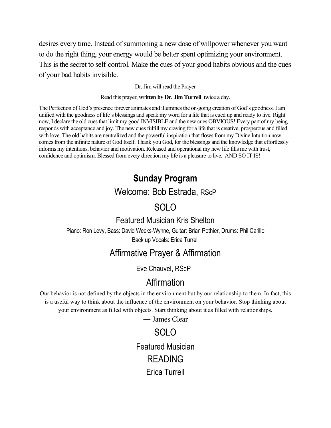desires every time. Instead of summoning a new dose of willpower whenever you want to do the right thing, your energy would be better spent optimizing your environment. This is the secret to self-control. Make the cues of your good habits obvious and the cues of your bad habits invisible.

#### Dr. Jim will read the Prayer

#### Read this prayer, **written by Dr. Jim Turrell** twice a day.

The Perfection of God's presence forever animates and illumines the on-going creation of God's goodness. I am unified with the goodness of life's blessings and speak my word for a life that is cued up and ready to live. Right now, I declare the old cues that limit my good INVISIBLE and the new cues OBVIOUS! Every part of my being responds with acceptance and joy. The new cues fulfill my craving for a life that is creative, prosperous and filled with love. The old habits are neutralized and the powerful inspiration that flows from my Divine Intuition now comes from the infinite nature of God Itself. Thank you God, for the blessings and the knowledge that effortlessly informs my intentions, behavior and motivation. Released and operational my new life fills me with trust, confidence and optimism. Blessed from every direction my life is a pleasure to live. AND SO IT IS!

# **Sunday Program**

# Welcome: Bob Estrada, RScP

# SOLO

## Featured Musician Kris Shelton Piano: Ron Levy, Bass: David Weeks-Wynne, Guitar: Brian Pothier, Drums: Phil Carillo Back up Vocals: Erica Turrell

# Affirmative Prayer & Affirmation

Eve Chauvel, RScP

# Affirmation

Our behavior is not defined by the objects in the environment but by our relationship to them. In fact, this is a useful way to think about the influence of the environment on your behavior. Stop thinking about your environment as filled with objects. Start thinking about it as filled with relationships.

― James Clear

SOLO Featured Musician READING Erica Turrell